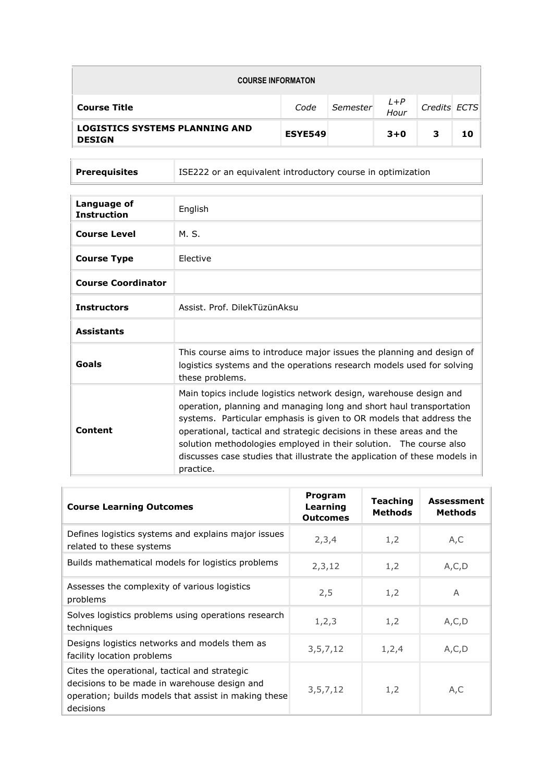| <b>COURSE INFORMATON</b>                               |                |          |                 |              |    |
|--------------------------------------------------------|----------------|----------|-----------------|--------------|----|
| <b>Course Title</b>                                    | Code           | Semester | $L + P$<br>Hour | Credits ECTS |    |
| <b>LOGISTICS SYSTEMS PLANNING AND</b><br><b>DESIGN</b> | <b>ESYE549</b> |          | $3 + 0$         | з            | 10 |

**Prerequisites** ISE222 or an equivalent introductory course in optimization

| Language of<br><b>Instruction</b> | English                                                                                                                                                                                                                                                                                                                                                                                                                                                  |
|-----------------------------------|----------------------------------------------------------------------------------------------------------------------------------------------------------------------------------------------------------------------------------------------------------------------------------------------------------------------------------------------------------------------------------------------------------------------------------------------------------|
| <b>Course Level</b>               | M. S.                                                                                                                                                                                                                                                                                                                                                                                                                                                    |
| <b>Course Type</b>                | <b>Flective</b>                                                                                                                                                                                                                                                                                                                                                                                                                                          |
| <b>Course Coordinator</b>         |                                                                                                                                                                                                                                                                                                                                                                                                                                                          |
| <b>Instructors</b>                | Assist, Prof. DilekTüzünAksu                                                                                                                                                                                                                                                                                                                                                                                                                             |
| <b>Assistants</b>                 |                                                                                                                                                                                                                                                                                                                                                                                                                                                          |
| Goals                             | This course aims to introduce major issues the planning and design of<br>logistics systems and the operations research models used for solving<br>these problems.                                                                                                                                                                                                                                                                                        |
| Content                           | Main topics include logistics network design, warehouse design and<br>operation, planning and managing long and short haul transportation<br>systems. Particular emphasis is given to OR models that address the<br>operational, tactical and strategic decisions in these areas and the<br>solution methodologies employed in their solution. The course also<br>discusses case studies that illustrate the application of these models in<br>practice. |

| <b>Course Learning Outcomes</b>                                                                                                                                    | Program<br>Learning<br><b>Outcomes</b> | <b>Teaching</b><br><b>Methods</b> | <b>Assessment</b><br><b>Methods</b> |
|--------------------------------------------------------------------------------------------------------------------------------------------------------------------|----------------------------------------|-----------------------------------|-------------------------------------|
| Defines logistics systems and explains major issues<br>related to these systems                                                                                    | 2,3,4                                  | 1,2                               | A,C                                 |
| Builds mathematical models for logistics problems                                                                                                                  | 2,3,12                                 | 1,2                               | A, C, D                             |
| Assesses the complexity of various logistics<br>problems                                                                                                           | 2,5                                    | 1,2                               | A                                   |
| Solves logistics problems using operations research<br>techniques                                                                                                  | 1, 2, 3                                | 1,2                               | A, C, D                             |
| Designs logistics networks and models them as<br>facility location problems                                                                                        | 3, 5, 7, 12                            | 1, 2, 4                           | A, C, D                             |
| Cites the operational, tactical and strategic<br>decisions to be made in warehouse design and<br>operation; builds models that assist in making these<br>decisions | 3, 5, 7, 12                            | 1,2                               | A, C                                |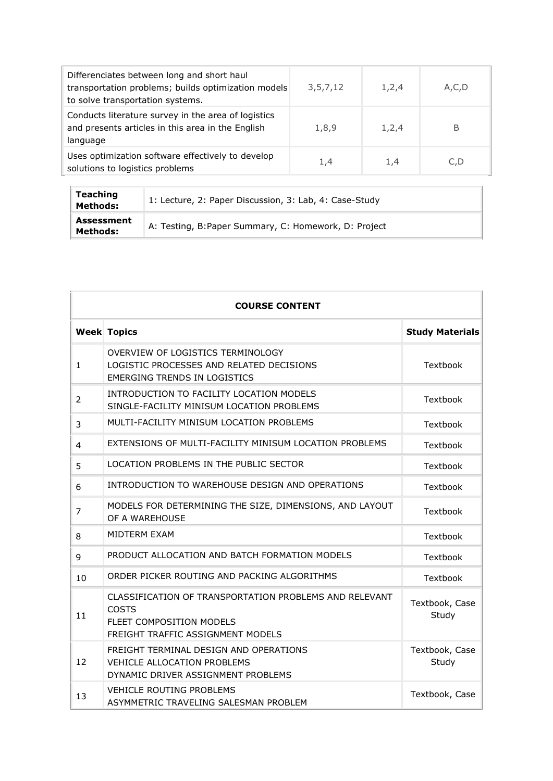| Differenciates between long and short haul<br>transportation problems; builds optimization models<br>to solve transportation systems. | 3,5,7,12 | 1,2,4 | A,C,D |
|---------------------------------------------------------------------------------------------------------------------------------------|----------|-------|-------|
| Conducts literature survey in the area of logistics<br>and presents articles in this area in the English<br>language                  | 1,8,9    | 1,2,4 | В     |
| Uses optimization software effectively to develop<br>solutions to logistics problems                                                  | 1,4      | 1.4   | C.D   |

| Teaching<br>Methods:   | 1: Lecture, 2: Paper Discussion, 3: Lab, 4: Case-Study |
|------------------------|--------------------------------------------------------|
| Assessment<br>Methods: | A: Testing, B: Paper Summary, C: Homework, D: Project  |

|                                                                                | <b>COURSE CONTENT</b>                                                                                                                   |                         |  |  |
|--------------------------------------------------------------------------------|-----------------------------------------------------------------------------------------------------------------------------------------|-------------------------|--|--|
|                                                                                | <b>Week Topics</b>                                                                                                                      | <b>Study Materials</b>  |  |  |
| $\mathbf{1}$                                                                   | OVERVIEW OF LOGISTICS TERMINOLOGY<br>LOGISTIC PROCESSES AND RELATED DECISIONS<br><b>EMERGING TRENDS IN LOGISTICS</b>                    | Textbook                |  |  |
| 2                                                                              | INTRODUCTION TO FACILITY LOCATION MODELS<br>SINGLE-FACILITY MINISUM LOCATION PROBLEMS                                                   | Textbook                |  |  |
| 3                                                                              | MULTI-FACILITY MINISUM LOCATION PROBLEMS                                                                                                | Textbook                |  |  |
| $\overline{4}$                                                                 | EXTENSIONS OF MULTI-FACILITY MINISUM LOCATION PROBLEMS                                                                                  | Textbook                |  |  |
| 5                                                                              | LOCATION PROBLEMS IN THE PUBLIC SECTOR                                                                                                  | Textbook                |  |  |
| INTRODUCTION TO WAREHOUSE DESIGN AND OPERATIONS<br>6                           |                                                                                                                                         | Textbook                |  |  |
| 7                                                                              | MODELS FOR DETERMINING THE SIZE, DIMENSIONS, AND LAYOUT<br>OF A WAREHOUSE                                                               | Textbook                |  |  |
| 8                                                                              | MIDTERM EXAM                                                                                                                            | Textbook                |  |  |
| 9                                                                              | PRODUCT ALLOCATION AND BATCH FORMATION MODELS                                                                                           | Textbook                |  |  |
| 10                                                                             | ORDER PICKER ROUTING AND PACKING ALGORITHMS                                                                                             | Textbook                |  |  |
| 11                                                                             | CLASSIFICATION OF TRANSPORTATION PROBLEMS AND RELEVANT<br><b>COSTS</b><br>FLEET COMPOSITION MODELS<br>FREIGHT TRAFFIC ASSIGNMENT MODELS | Textbook, Case<br>Study |  |  |
| 12                                                                             | FREIGHT TERMINAL DESIGN AND OPERATIONS<br>VEHICLE ALLOCATION PROBLEMS<br>DYNAMIC DRIVER ASSIGNMENT PROBLEMS                             | Textbook, Case<br>Study |  |  |
| <b>VEHICLE ROUTING PROBLEMS</b><br>13<br>ASYMMETRIC TRAVELING SALESMAN PROBLEM |                                                                                                                                         | Textbook, Case          |  |  |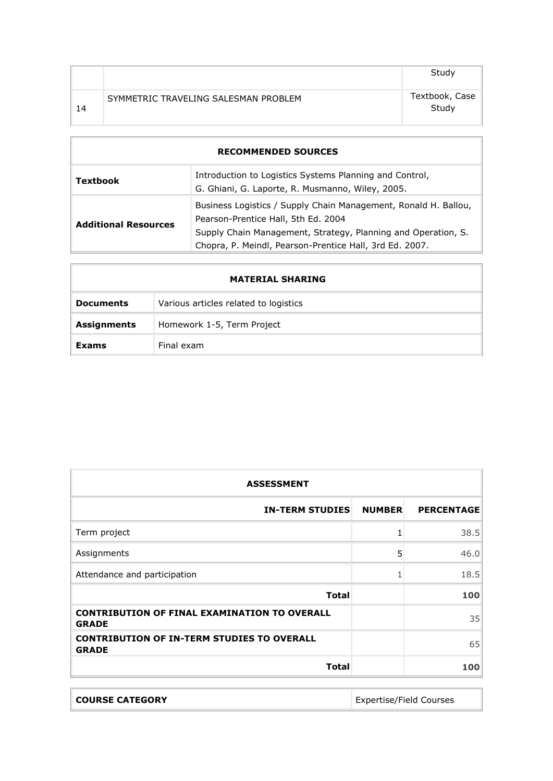|    |                                      | Study                   |
|----|--------------------------------------|-------------------------|
| 14 | SYMMETRIC TRAVELING SALESMAN PROBLEM | Textbook, Case<br>Study |

| <b>RECOMMENDED SOURCES</b>                                                                                                     |                                                                                                                                                                                                                                    |  |
|--------------------------------------------------------------------------------------------------------------------------------|------------------------------------------------------------------------------------------------------------------------------------------------------------------------------------------------------------------------------------|--|
| Introduction to Logistics Systems Planning and Control,<br><b>Textbook</b><br>G. Ghiani, G. Laporte, R. Musmanno, Wiley, 2005. |                                                                                                                                                                                                                                    |  |
| <b>Additional Resources</b>                                                                                                    | Business Logistics / Supply Chain Management, Ronald H. Ballou,<br>Pearson-Prentice Hall, 5th Ed. 2004<br>Supply Chain Management, Strategy, Planning and Operation, S.<br>Chopra, P. Meindl, Pearson-Prentice Hall, 3rd Ed. 2007. |  |

|                    | <b>MATERIAL SHARING</b>               |
|--------------------|---------------------------------------|
| <b>Documents</b>   | Various articles related to logistics |
| <b>Assignments</b> | Homework 1-5, Term Project            |
| Exams              | Final exam                            |

| <b>ASSESSMENT</b>                                                   |               |                   |
|---------------------------------------------------------------------|---------------|-------------------|
| <b>IN-TERM STUDIES</b>                                              | <b>NUMBER</b> | <b>PERCENTAGE</b> |
| Term project                                                        | 1             | 38.5              |
| Assignments                                                         | 5             | 46.0              |
| Attendance and participation                                        | 1             | 18.5              |
| <b>Total</b>                                                        |               | 100               |
| <b>CONTRIBUTION OF FINAL EXAMINATION TO OVERALL</b><br><b>GRADE</b> |               | 35                |
| <b>CONTRIBUTION OF IN-TERM STUDIES TO OVERALL</b><br><b>GRADE</b>   |               | 65                |
| <b>Total</b>                                                        |               | 100               |

| <b>COURSE CATEGORY</b> | <b>Expertise/Field Courses</b> |
|------------------------|--------------------------------|
|                        |                                |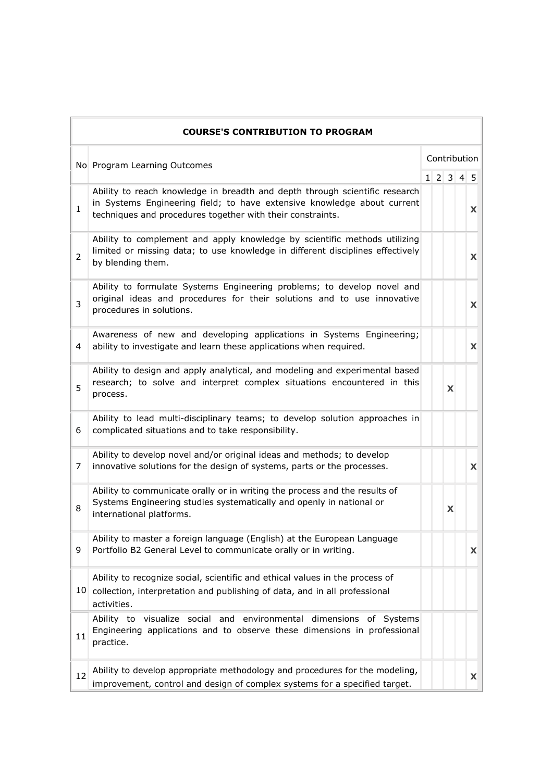|                | <b>COURSE'S CONTRIBUTION TO PROGRAM</b>                                                                                                                                                                              |  |              |       |  |    |
|----------------|----------------------------------------------------------------------------------------------------------------------------------------------------------------------------------------------------------------------|--|--------------|-------|--|----|
|                | No Program Learning Outcomes                                                                                                                                                                                         |  | Contribution |       |  |    |
|                |                                                                                                                                                                                                                      |  |              | 12345 |  |    |
| $\mathbf{1}$   | Ability to reach knowledge in breadth and depth through scientific research<br>in Systems Engineering field; to have extensive knowledge about current<br>techniques and procedures together with their constraints. |  |              |       |  | X. |
| $\overline{2}$ | Ability to complement and apply knowledge by scientific methods utilizing<br>limited or missing data; to use knowledge in different disciplines effectively<br>by blending them.                                     |  |              |       |  | X. |
| 3              | Ability to formulate Systems Engineering problems; to develop novel and<br>original ideas and procedures for their solutions and to use innovative<br>procedures in solutions.                                       |  |              |       |  | X  |
| 4              | Awareness of new and developing applications in Systems Engineering;<br>ability to investigate and learn these applications when required.                                                                           |  |              |       |  | X  |
| 5              | Ability to design and apply analytical, and modeling and experimental based<br>research; to solve and interpret complex situations encountered in this<br>process.                                                   |  |              | X     |  |    |
| 6              | Ability to lead multi-disciplinary teams; to develop solution approaches in<br>complicated situations and to take responsibility.                                                                                    |  |              |       |  |    |
| 7              | Ability to develop novel and/or original ideas and methods; to develop<br>innovative solutions for the design of systems, parts or the processes.                                                                    |  |              |       |  | X  |
| 8              | Ability to communicate orally or in writing the process and the results of<br>Systems Engineering studies systematically and openly in national or<br>international platforms.                                       |  |              | X     |  |    |
| 9              | Ability to master a foreign language (English) at the European Language<br>Portfolio B2 General Level to communicate orally or in writing.                                                                           |  |              |       |  | X  |
|                | Ability to recognize social, scientific and ethical values in the process of<br>10 collection, interpretation and publishing of data, and in all professional<br>activities.                                         |  |              |       |  |    |
| 11             | Ability to visualize social and environmental dimensions of Systems<br>Engineering applications and to observe these dimensions in professional<br>practice.                                                         |  |              |       |  |    |
| 12             | Ability to develop appropriate methodology and procedures for the modeling,<br>improvement, control and design of complex systems for a specified target.                                                            |  |              |       |  | X  |